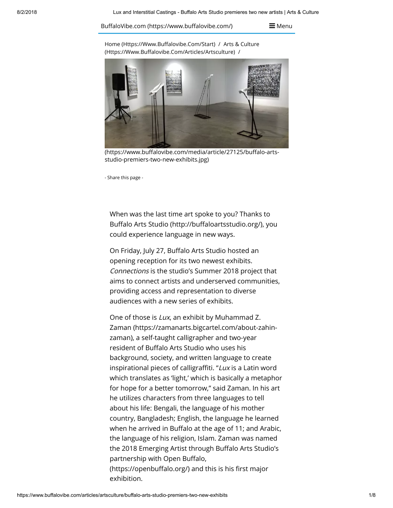BuffaloVibe.com (https://www.buffalovibe.com/)

 $\equiv$  Menu

Home (Https://Www.Buffalovibe.Com/Start) / Arts & Culture (Https://Www.Buffalovibe.Com/Articles/Artsculture) /



(https://www.buffalovibe.com/media/article/27125/buffalo-artsstudio-premiers-two-new-exhibits.jpg)

- Share this page -

When was the last time art spoke to you? Thanks to Buffalo Arts Studio (http://buffaloartsstudio.org/), you could experience language in new ways.

On Friday, July 27, Buffalo Arts Studio hosted an opening reception for its two newest exhibits. Connections is the studio's Summer 2018 project that aims to connect artists and underserved communities, providing access and representation to diverse audiences with a new series of exhibits.

One of those is Lux, an exhibit by Muhammad Z. [Zaman \(https://zamanarts.bigcartel.com/about-zahin](https://zamanarts.bigcartel.com/about-zahin-zaman)zaman), a self-taught calligrapher and two-year resident of Buffalo Arts Studio who uses his background, society, and written language to create inspirational pieces of calligraffiti. "Lux is a Latin word which translates as 'light,' which is basically a metaphor for hope for a better tomorrow," said Zaman. In his art he utilizes characters from three languages to tell about his life: Bengali, the language of his mother country, Bangladesh; English, the language he learned when he arrived in Buffalo at the age of 11; and Arabic, the language of his religion, Islam. Zaman was named the 2018 Emerging Artist through Buffalo Arts Studio's partnership with Open Buffalo, (https://openbuffalo.org/) and this is his first major exhibition.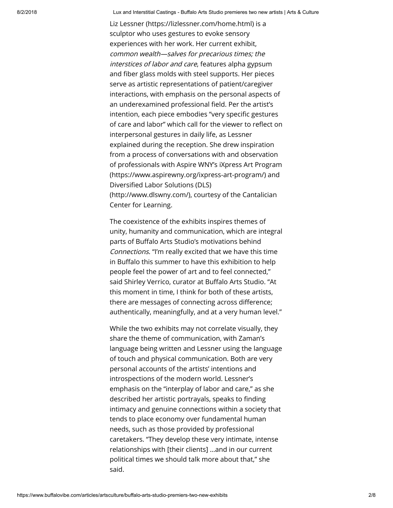[Liz Lessner \(https://lizlessner.com/home.html\)](https://lizlessner.com/home.html) is a sculptor who uses gestures to evoke sensory experiences with her work. Her current exhibit, common wealth—salves for precarious times; the interstices of labor and care, features alpha gypsum and fiber glass molds with steel supports. Her pieces serve as artistic representations of patient/caregiver interactions, with emphasis on the personal aspects of an underexamined professional field. Per the artist's intention, each piece embodies "very specific gestures of care and labor" which call for the viewer to reflect on interpersonal gestures in daily life, as Lessner explained during the reception. She drew inspiration from a process of conversations with and observation [of professionals with Aspire WNY's iXpress Art Program](https://www.aspirewny.org/ixpress-art-program/) (https://www.aspirewny.org/ixpress-art-program/) and Diversified Labor Solutions (DLS) (http://www.dlswny.com/), courtesy of the Cantalician Center for Learning.

The coexistence of the exhibits inspires themes of unity, humanity and communication, which are integral parts of Buffalo Arts Studio's motivations behind Connections. "I'm really excited that we have this time in Buffalo this summer to have this exhibition to help people feel the power of art and to feel connected," said Shirley Verrico, curator at Buffalo Arts Studio. "At this moment in time, I think for both of these artists, there are messages of connecting across difference; authentically, meaningfully, and at a very human level."

While the two exhibits may not correlate visually, they share the theme of communication, with Zaman's language being written and Lessner using the language of touch and physical communication. Both are very personal accounts of the artists' intentions and introspections of the modern world. Lessner's emphasis on the "interplay of labor and care," as she described her artistic portrayals, speaks to finding intimacy and genuine connections within a society that tends to place economy over fundamental human needs, such as those provided by professional caretakers. "They develop these very intimate, intense relationships with [their clients] …and in our current political times we should talk more about that," she said.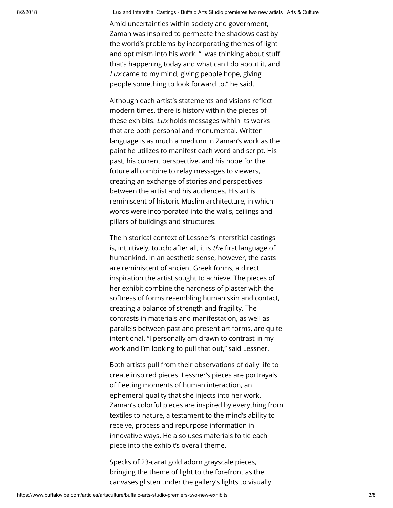Amid uncertainties within society and government, Zaman was inspired to permeate the shadows cast by the world's problems by incorporating themes of light and optimism into his work. "I was thinking about stu that's happening today and what can I do about it, and Lux came to my mind, giving people hope, giving people something to look forward to," he said.

Although each artist's statements and visions reflect modern times, there is history within the pieces of these exhibits. Lux holds messages within its works that are both personal and monumental. Written language is as much a medium in Zaman's work as the paint he utilizes to manifest each word and script. His past, his current perspective, and his hope for the future all combine to relay messages to viewers, creating an exchange of stories and perspectives between the artist and his audiences. His art is reminiscent of historic Muslim architecture, in which words were incorporated into the walls, ceilings and pillars of buildings and structures.

The historical context of Lessner's interstitial castings is, intuitively, touch; after all, it is the first language of humankind. In an aesthetic sense, however, the casts are reminiscent of ancient Greek forms, a direct inspiration the artist sought to achieve. The pieces of her exhibit combine the hardness of plaster with the softness of forms resembling human skin and contact, creating a balance of strength and fragility. The contrasts in materials and manifestation, as well as parallels between past and present art forms, are quite intentional. "I personally am drawn to contrast in my work and I'm looking to pull that out," said Lessner.

Both artists pull from their observations of daily life to create inspired pieces. Lessner's pieces are portrayals of fleeting moments of human interaction, an ephemeral quality that she injects into her work. Zaman's colorful pieces are inspired by everything from textiles to nature, a testament to the mind's ability to receive, process and repurpose information in innovative ways. He also uses materials to tie each piece into the exhibit's overall theme.

Specks of 23-carat gold adorn grayscale pieces, bringing the theme of light to the forefront as the canvases glisten under the gallery's lights to visually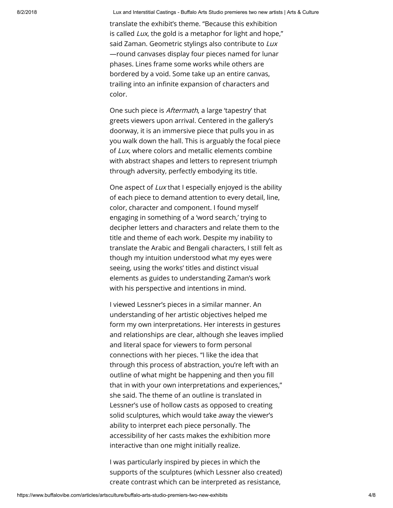translate the exhibit's theme. "Because this exhibition is called  $Lux$ , the gold is a metaphor for light and hope," said Zaman. Geometric stylings also contribute to Lux —round canvases display four pieces named for lunar phases. Lines frame some works while others are bordered by a void. Some take up an entire canvas, trailing into an infinite expansion of characters and color.

One such piece is Aftermath, a large 'tapestry' that greets viewers upon arrival. Centered in the gallery's doorway, it is an immersive piece that pulls you in as you walk down the hall. This is arguably the focal piece of Lux, where colors and metallic elements combine with abstract shapes and letters to represent triumph through adversity, perfectly embodying its title.

One aspect of Lux that I especially enjoyed is the ability of each piece to demand attention to every detail, line, color, character and component. I found myself engaging in something of a 'word search,' trying to decipher letters and characters and relate them to the title and theme of each work. Despite my inability to translate the Arabic and Bengali characters, I still felt as though my intuition understood what my eyes were seeing, using the works' titles and distinct visual elements as guides to understanding Zaman's work with his perspective and intentions in mind.

I viewed Lessner's pieces in a similar manner. An understanding of her artistic objectives helped me form my own interpretations. Her interests in gestures and relationships are clear, although she leaves implied and literal space for viewers to form personal connections with her pieces. "I like the idea that through this process of abstraction, you're left with an outline of what might be happening and then you fill that in with your own interpretations and experiences," she said. The theme of an outline is translated in Lessner's use of hollow casts as opposed to creating solid sculptures, which would take away the viewer's ability to interpret each piece personally. The accessibility of her casts makes the exhibition more interactive than one might initially realize.

I was particularly inspired by pieces in which the supports of the sculptures (which Lessner also created) create contrast which can be interpreted as resistance,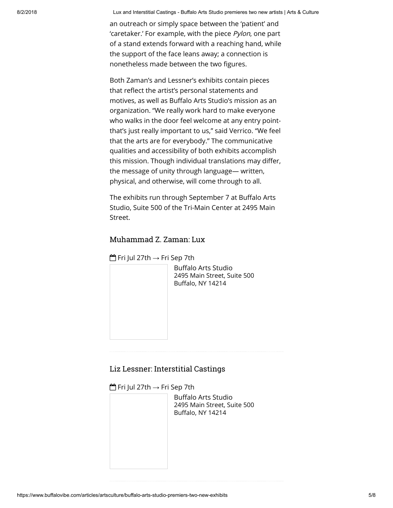an outreach or simply space between the 'patient' and 'caretaker.' For example, with the piece Pylon, one part of a stand extends forward with a reaching hand, while the support of the face leans away; a connection is nonetheless made between the two figures.

Both Zaman's and Lessner's exhibits contain pieces that reflect the artist's personal statements and motives, as well as Buffalo Arts Studio's mission as an organization. "We really work hard to make everyone who walks in the door feel welcome at any entry pointthat's just really important to us," said Verrico. "We feel that the arts are for everybody." The communicative qualities and accessibility of both exhibits accomplish this mission. Though individual translations may differ, the message of unity through language— written, physical, and otherwise, will come through to all.

The exhibits run through September 7 at Buffalo Arts Studio, Suite 500 of the Tri-Main Center at 2495 Main Street.

## Muhammad Z. Zaman: Lux

Fri Jul 27th → Fri Sep 7th

Buffalo Arts Studio 2495 Main Street, Suite 500 Buffalo, NY 14214

## Liz Lessner: Interstitial Castings

 $f^{\text{max}}$  Fri Jul 27th  $\rightarrow$  Fri Sep 7th

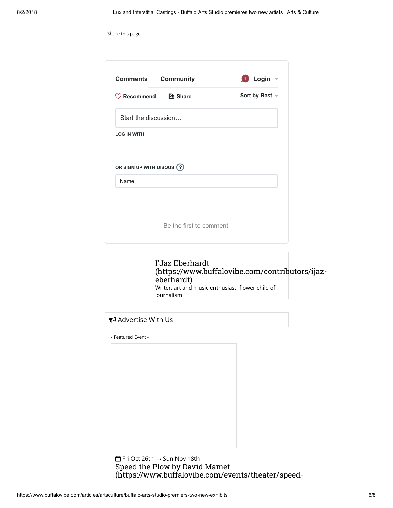|  |  |  |  | - Share this page - |  |
|--|--|--|--|---------------------|--|
|--|--|--|--|---------------------|--|

| <b>Comments Community</b>                      |                          | $\bigoplus$ Login $\lnot$ |  |  |  |  |
|------------------------------------------------|--------------------------|---------------------------|--|--|--|--|
| $\heartsuit$ Recommend $\heartsuit$ Share      |                          | Sort by Best -            |  |  |  |  |
| Start the discussion                           |                          |                           |  |  |  |  |
|                                                |                          |                           |  |  |  |  |
|                                                |                          |                           |  |  |  |  |
|                                                |                          |                           |  |  |  |  |
|                                                |                          |                           |  |  |  |  |
| Name                                           |                          |                           |  |  |  |  |
|                                                |                          |                           |  |  |  |  |
| <b>LOG IN WITH</b><br>OR SIGN UP WITH DISQUS ? | Be the first to comment. |                           |  |  |  |  |



## Advertise With Us

- Featured Event -

 Fri Oct 26th → Sun Nov 18th Speed the Plow by David Mamet [\(https://www.buffalovibe.com/events/theater/speed-](https://www.buffalovibe.com/events/theater/speed-the-plow-by-david-mamet/13038)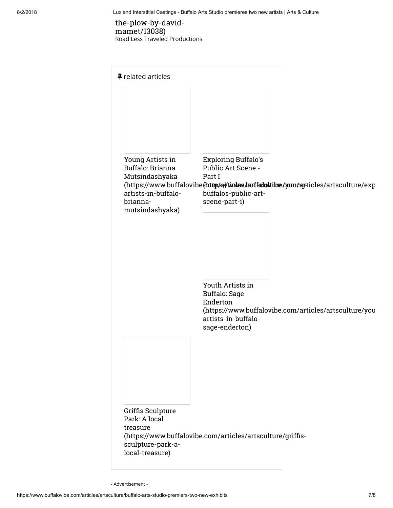## [the-plow-by-david](https://www.buffalovibe.com/events/theater/speed-the-plow-by-david-mamet/13038)mamet/13038) Road Less Traveled Productions

| <b>#</b> related articles                                                                 |                                                                                                     |                                                                                     |
|-------------------------------------------------------------------------------------------|-----------------------------------------------------------------------------------------------------|-------------------------------------------------------------------------------------|
|                                                                                           |                                                                                                     |                                                                                     |
| Young Artists in<br>Buffalo: Brianna<br>Mutsindashyaka<br>artists-in-buffalo-<br>brianna- | <b>Exploring Buffalo's</b><br>Public Art Scene -<br>Part I<br>buffalos-public-art-<br>scene-part-i) | (https://www.buffalovibe(cottps://woodes/auffaboktibe/som/ag-ticles/artsculture/exp |
| mutsindashyaka)                                                                           |                                                                                                     |                                                                                     |
|                                                                                           | Youth Artists in<br><b>Buffalo: Sage</b>                                                            |                                                                                     |
|                                                                                           | Enderton<br>artists-in-buffalo-<br>sage-enderton)                                                   | (https://www.buffalovibe.com/articles/artsculture/you                               |
|                                                                                           |                                                                                                     |                                                                                     |
| Griffis Sculpture<br>Park: A local<br>treasure                                            |                                                                                                     |                                                                                     |
| sculpture-park-a-<br>local-treasure)                                                      | (https://www.buffalovibe.com/articles/artsculture/griffis-                                          |                                                                                     |

- Advertisement -